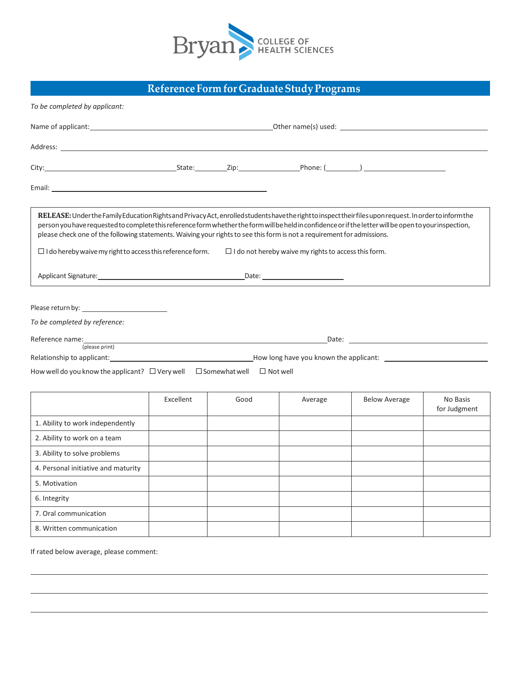

## **Reference Formfor GraduateStudyPrograms**

| To be completed by applicant:                                                                                                                                                                                                                                                                                                                                                                                                                                                                                      |           |      |                                                             |                                                                                                                                                                                                                                      |                          |
|--------------------------------------------------------------------------------------------------------------------------------------------------------------------------------------------------------------------------------------------------------------------------------------------------------------------------------------------------------------------------------------------------------------------------------------------------------------------------------------------------------------------|-----------|------|-------------------------------------------------------------|--------------------------------------------------------------------------------------------------------------------------------------------------------------------------------------------------------------------------------------|--------------------------|
|                                                                                                                                                                                                                                                                                                                                                                                                                                                                                                                    |           |      |                                                             |                                                                                                                                                                                                                                      |                          |
| Address: the contract of the contract of the contract of the contract of the contract of the contract of the contract of the contract of the contract of the contract of the contract of the contract of the contract of the c                                                                                                                                                                                                                                                                                     |           |      |                                                             |                                                                                                                                                                                                                                      |                          |
| City: City: City: City: City: City: City: Phone: (Campbell City: City: City: City: City: City: City: City: City: City: City: City: City: City: City: City: City: City: City: City: City: City: City: City: City: City: City: C                                                                                                                                                                                                                                                                                     |           |      |                                                             |                                                                                                                                                                                                                                      |                          |
|                                                                                                                                                                                                                                                                                                                                                                                                                                                                                                                    |           |      |                                                             |                                                                                                                                                                                                                                      |                          |
| RELEASE: Under the Family Education Rights and Privacy Act, enrolled students have the right to inspect their files upon request. In order to inform the<br>person you have requested to complete this reference form whether the form will be held in confidence or if the letter will be open to your inspection,<br>please check one of the following statements. Waiving your rights to see this form is not a requirement for admissions.<br>$\Box$ I do hereby waive my right to access this reference form. |           |      | $\Box$ I do not hereby waive my rights to access this form. |                                                                                                                                                                                                                                      |                          |
| Applicant Signature: the contract of the contract of the contract of the contract of the contract of the contract of the contract of the contract of the contract of the contract of the contract of the contract of the contr                                                                                                                                                                                                                                                                                     |           |      |                                                             |                                                                                                                                                                                                                                      |                          |
| To be completed by reference:<br>(please print)<br>How well do you know the applicant? $\Box$ Very well $\Box$ Somewhat well $\Box$ Not well                                                                                                                                                                                                                                                                                                                                                                       |           |      |                                                             | Date: <u>contract and the contract of the contract of the contract of the contract of the contract of the contract of the contract of the contract of the contract of the contract of the contract of the contract of the contra</u> |                          |
|                                                                                                                                                                                                                                                                                                                                                                                                                                                                                                                    | Excellent | Good | Average                                                     | <b>Below Average</b>                                                                                                                                                                                                                 | No Basis<br>for Judgment |
| 1. Ability to work independently                                                                                                                                                                                                                                                                                                                                                                                                                                                                                   |           |      |                                                             |                                                                                                                                                                                                                                      |                          |
| 2. Ability to work on a team                                                                                                                                                                                                                                                                                                                                                                                                                                                                                       |           |      |                                                             |                                                                                                                                                                                                                                      |                          |
| 3. Ability to solve problems                                                                                                                                                                                                                                                                                                                                                                                                                                                                                       |           |      |                                                             |                                                                                                                                                                                                                                      |                          |
| 4. Personal initiative and maturity                                                                                                                                                                                                                                                                                                                                                                                                                                                                                |           |      |                                                             |                                                                                                                                                                                                                                      |                          |
| 5. Motivation                                                                                                                                                                                                                                                                                                                                                                                                                                                                                                      |           |      |                                                             |                                                                                                                                                                                                                                      |                          |
| 6. Integrity                                                                                                                                                                                                                                                                                                                                                                                                                                                                                                       |           |      |                                                             |                                                                                                                                                                                                                                      |                          |
| 7. Oral communication                                                                                                                                                                                                                                                                                                                                                                                                                                                                                              |           |      |                                                             |                                                                                                                                                                                                                                      |                          |
| 8. Written communication                                                                                                                                                                                                                                                                                                                                                                                                                                                                                           |           |      |                                                             |                                                                                                                                                                                                                                      |                          |

If rated below average, please comment: